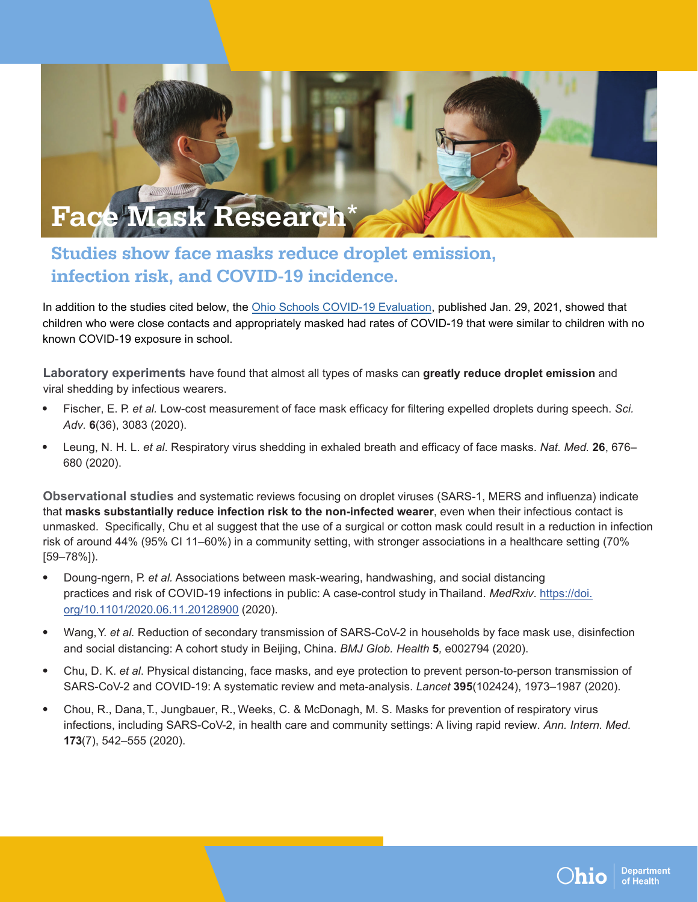

## Studies show face masks reduce droplet emission, infection risk, and COVID-19 incidence.

In addition to the studies cited below, the [Ohio Schools COVID-19 Evaluation,](https://coronavirus.ohio.gov/static/responsible/schools/OSCE_evaluation.pdf) published Jan. 29, 2021, showed that children who were close contacts and appropriately masked had rates of COVID-19 that were similar to children with no known COVID-19 exposure in school.

**Laboratory experiments** have found that almost all types of masks can **greatly reduce droplet emission** and viral shedding by infectious wearers.

- Fischer, E. P. *et al.* Low-cost measurement of face mask efficacy for filtering expelled droplets during speech. *Sci. Adv.* **6**(36), 3083 (2020).
- Leung, N. H. L. *et al*. Respiratory virus shedding in exhaled breath and efficacy of face masks. *Nat. Med.* **26**, 676– 680 (2020).

**Observational studies** and systematic reviews focusing on droplet viruses (SARS-1, MERS and influenza) indicate that **masks substantially reduce infection risk to the non-infected wearer**, even when their infectious contact is unmasked. Specifically, Chu et al suggest that the use of a surgical or cotton mask could result in a reduction in infection risk of around 44% (95% CI 11–60%) in a community setting, with stronger associations in a healthcare setting (70% [59–78%]).

- Doung-ngern, P. *et al.* Associations between mask-wearing, handwashing, and social distancing practices and risk of COVID-19 infections in public: A case-control study in Thailand. *MedRxiv*. [https://doi.](https://doi.org/10.1101/2020.06.11.20128900) [org/10.1101/2020.06.11.20128900](https://doi.org/10.1101/2020.06.11.20128900) (2020).
- Wang, Y. *et al.* Reduction of secondary transmission of SARS-CoV-2 in households by face mask use, disinfection and social distancing: A cohort study in Beijing, China. *BMJ Glob. Health* **5***,* e002794 (2020).
- Chu, D. K. *et al*. Physical distancing, face masks, and eye protection to prevent person-to-person transmission of SARS-CoV-2 and COVID-19: A systematic review and meta-analysis. *Lancet* **395**(102424), 1973–1987 (2020).
- Chou, R., Dana, T., Jungbauer, R., Weeks, C. & McDonagh, M. S. Masks for prevention of respiratory virus infections, including SARS-CoV-2, in health care and community settings: A living rapid review. *Ann. Intern. Med.* **173**(7), 542–555 (2020).